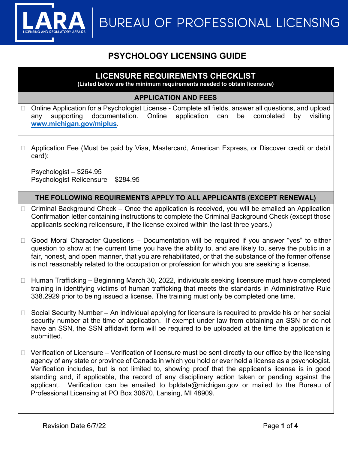**BUREAU OF PROFESSIONAL LICENSING** 

# **PSYCHOLOGY LICENSING GUIDE**

## **LICENSURE REQUIREMENTS CHECKLIST**

**(Listed below are the minimum requirements needed to obtain licensure)**

#### **APPLICATION AND FEES**

- □ Online Application for a Psychologist License Complete all fields, answer all questions, and upload any supporting documentation. Online application can be completed by visiting **[www.michigan.gov/miplus](http://www.michigan.gov/miplus)**.
- □ Application Fee (Must be paid by Visa, Mastercard, American Express, or Discover credit or debit card):

Psychologist – \$264.95 Psychologist Relicensure – \$284.95

### **THE FOLLOWING REQUIREMENTS APPLY TO ALL APPLICANTS (EXCEPT RENEWAL)**

- $\Box$  Criminal Background Check Once the application is received, you will be emailed an Application Confirmation letter containing instructions to complete the Criminal Background Check (except those applicants seeking relicensure, if the license expired within the last three years.)
- $\Box$  Good Moral Character Questions Documentation will be required if you answer "yes" to either question to show at the current time you have the ability to, and are likely to, serve the public in a fair, honest, and open manner, that you are rehabilitated, or that the substance of the former offense is not reasonably related to the occupation or profession for which you are seeking a license.
- $\Box$  Human Trafficking Beginning March 30, 2022, individuals seeking licensure must have completed training in identifying victims of human trafficking that meets the standards in Administrative Rule 338.2929 prior to being issued a license. The training must only be completed one time.
- $\Box$  Social Security Number An individual applying for licensure is required to provide his or her social security number at the time of application. If exempt under law from obtaining an SSN or do not have an SSN, the SSN affidavit form will be required to be uploaded at the time the application is submitted.
- $\Box$  Verification of Licensure Verification of licensure must be sent directly to our office by the licensing agency of any state or province of Canada in which you hold or ever held a license as a psychologist. Verification includes, but is not limited to, showing proof that the applicant's license is in good standing and, if applicable, the record of any disciplinary action taken or pending against the applicant. Verification can be emailed to bpldata@michigan.gov or mailed to the Bureau of Professional Licensing at PO Box 30670, Lansing, MI 48909.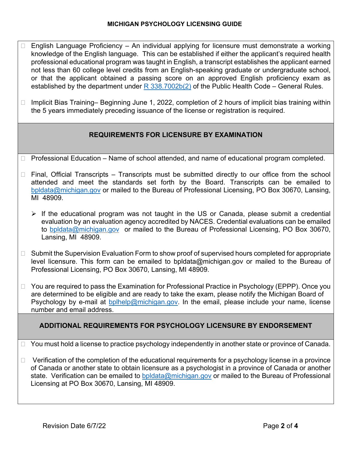- $\Box$  English Language Proficiency An individual applying for licensure must demonstrate a working knowledge of the English language. This can be established if either the applicant's required health professional educational program was taught in English, a transcript establishes the applicant earned not less than 60 college level credits from an English-speaking graduate or undergraduate school, or that the applicant obtained a passing score on an approved English proficiency exam as established by the department under  $R$  338.7002b(2) of the Public Health Code – General Rules.
- $\Box$  Implicit Bias Training– Beginning June 1, 2022, completion of 2 hours of implicit bias training within the 5 years immediately preceding issuance of the license or registration is required.

## **REQUIREMENTS FOR LICENSURE BY EXAMINATION**

- □ Professional Education Name of school attended, and name of educational program completed.
- $\Box$  Final, Official Transcripts Transcripts must be submitted directly to our office from the school attended and meet the standards set forth by the Board. Transcripts can be emailed to [bpldata@michigan.gov](mailto:bpldata@michigan.gov) or mailed to the Bureau of Professional Licensing, PO Box 30670, Lansing, MI 48909.
	- $\triangleright$  If the educational program was not taught in the US or Canada, please submit a credential evaluation by an evaluation agency accredited by NACES. Credential evaluations can be emailed to [bpldata@michigan.gov](mailto:bpldata@michigan.gov) or mailed to the Bureau of Professional Licensing, PO Box 30670, Lansing, MI 48909.
- $\Box$  Submit the Supervision Evaluation Form to show proof of supervised hours completed for appropriate level licensure. This form can be emailed to bpldata@michigan.gov or mailed to the Bureau of Professional Licensing, PO Box 30670, Lansing, MI 48909.
- $\Box$  You are required to pass the Examination for Professional Practice in Psychology (EPPP). Once you are determined to be eligible and are ready to take the exam, please notify the Michigan Board of Psychology by e-mail at [bplhelp@michigan.gov.](mailto:bplhelp@michigan.gov) In the email, please include your name, license number and email address.

## **ADDITIONAL REQUIREMENTS FOR PSYCHOLOGY LICENSURE BY ENDORSEMENT**

 $\Box$  You must hold a license to practice psychology independently in another state or province of Canada.

 $\Box$  Verification of the completion of the educational requirements for a psychology license in a province of Canada or another state to obtain licensure as a psychologist in a province of Canada or another state. Verification can be emailed to [bpldata@michigan.gov](mailto:bpldata@michigan.gov) or mailed to the Bureau of Professional Licensing at PO Box 30670, Lansing, MI 48909.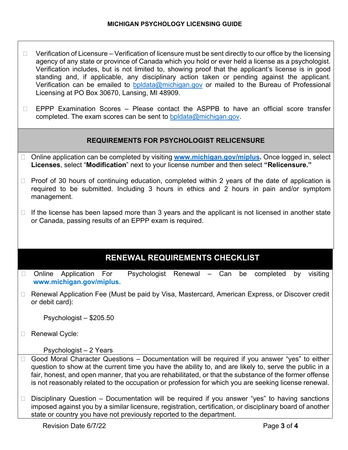- $\Box$  Verification of Licensure Verification of licensure must be sent directly to our office by the licensing agency of any state or province of Canada which you hold or ever held a license as a psychologist. Verification includes, but is not limited to, showing proof that the applicant's license is in good standing and, if applicable, any disciplinary action taken or pending against the applicant. Verification can be emailed to [bpldata@michigan.gov](mailto:bpldata@michigan.gov) or mailed to the Bureau of Professional Licensing at PO Box 30670, Lansing, MI 48909.
- $\Box$  EPPP Examination Scores Please contact the ASPPB to have an official score transfer completed. The exam scores can be sent to [bpldata@michigan.gov.](mailto:bpldata@michigan.gov)

### **REQUIREMENTS FOR PSYCHOLOGIST RELICENSURE**

- □ Online application can be completed by visiting **[www.michigan.gov/miplus.](http://www.michigan.gov/miplus)** Once logged in, select **Licenses**, select "**Modification**" next to your license number and then select **"Relicensure."**
- $\Box$  Proof of 30 hours of continuing education, completed within 2 years of the date of application is required to be submitted. Including 3 hours in ethics and 2 hours in pain and/or symptom management.
- $\Box$  If the license has been lapsed more than 3 years and the applicant is not licensed in another state or Canada, passing results of an EPPP exam is required.

## **RENEWAL REQUIREMENTS CHECKLIST**

- $\Box$  Online Application For Psychologist Renewal Can be completed by visiting **www.michigan.gov/miplus.**
- □ Renewal Application Fee (Must be paid by Visa, Mastercard, American Express, or Discover credit or debit card):

Psychologist – \$205.50

□ Renewal Cycle:

Psychologist – 2 Years

- $\Box$  Good Moral Character Questions Documentation will be required if you answer "yes" to either question to show at the current time you have the ability to, and are likely to, serve the public in a fair, honest, and open manner, that you are rehabilitated, or that the substance of the former offense is not reasonably related to the occupation or profession for which you are seeking license renewal.
- $\Box$  Disciplinary Question Documentation will be required if you answer "yes" to having sanctions imposed against you by a similar licensure, registration, certification, or disciplinary board of another state or country you have not previously reported to the department.